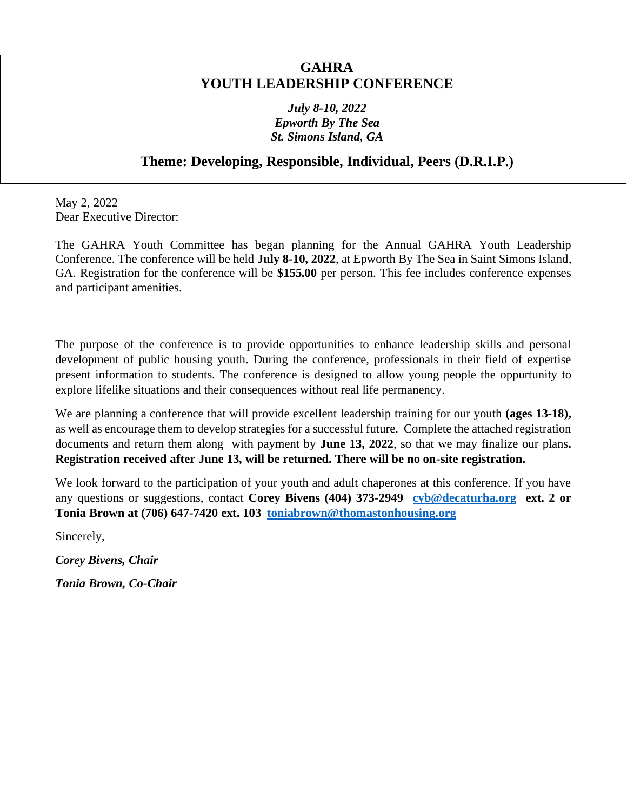# **GAHRA YOUTH LEADERSHIP CONFERENCE**

# *July 8-10, 2022 Epworth By The Sea St. Simons Island, GA*

# **Theme: Developing, Responsible, Individual, Peers (D.R.I.P.)**

May 2, 2022 Dear Executive Director:

The GAHRA Youth Committee has began planning for the Annual GAHRA Youth Leadership Conference. The conference will be held **July 8-10, 2022**, at Epworth By The Sea in Saint Simons Island, GA. Registration for the conference will be **\$155.00** per person. This fee includes conference expenses and participant amenities.

The purpose of the conference is to provide opportunities to enhance leadership skills and personal development of public housing youth. During the conference, professionals in their field of expertise present information to students. The conference is designed to allow young people the oppurtunity to explore lifelike situations and their consequences without real life permanency.

We are planning a conference that will provide excellent leadership training for our youth **(ages 13-18)**, as well as encourage them to develop strategies for a successful future. Complete the attached registration documents and return them along with payment by **June 13, 2022**, so that we may finalize our plans**. Registration received after June 13, will be returned. There will be no on-site registration.** 

We look forward to the participation of your youth and adult chaperones at this conference. If you have any questions or suggestions, contact **Corey Bivens (404) 373-2949 [cyb@decaturha.org](mailto:cyb@decaturha.org) ext. 2 or Tonia Brown at (706) 647-7420 ext. 103 [toniabrown@thomastonhousing.org](mailto:toniabrown@thomastonhousing.org)** 

Sincerely,

*Corey Bivens, Chair*

*Tonia Brown, Co-Chair*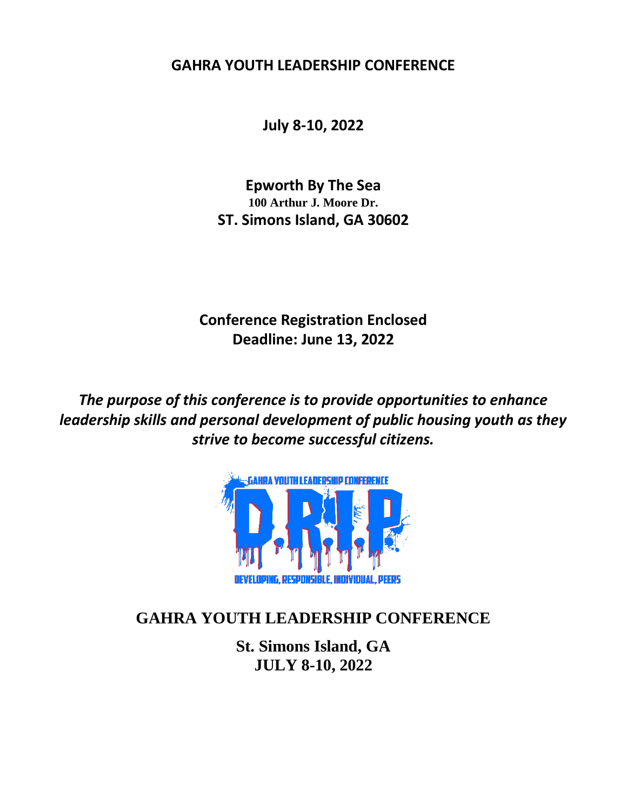**GAHRA YOUTH LEADERSHIP CONFERENCE**

**July 8-10, 2022**

**Epworth By The Sea 100 Arthur J. Moore Dr. ST. Simons Island, GA 30602**

**Conference Registration Enclosed Deadline: June 13, 2022**

*The purpose of this conference is to provide opportunities to enhance leadership skills and personal development of public housing youth as they strive to become successful citizens.*



# **GAHRA YOUTH LEADERSHIP CONFERENCE**

**St. Simons Island, GA JULY 8-10, 2022**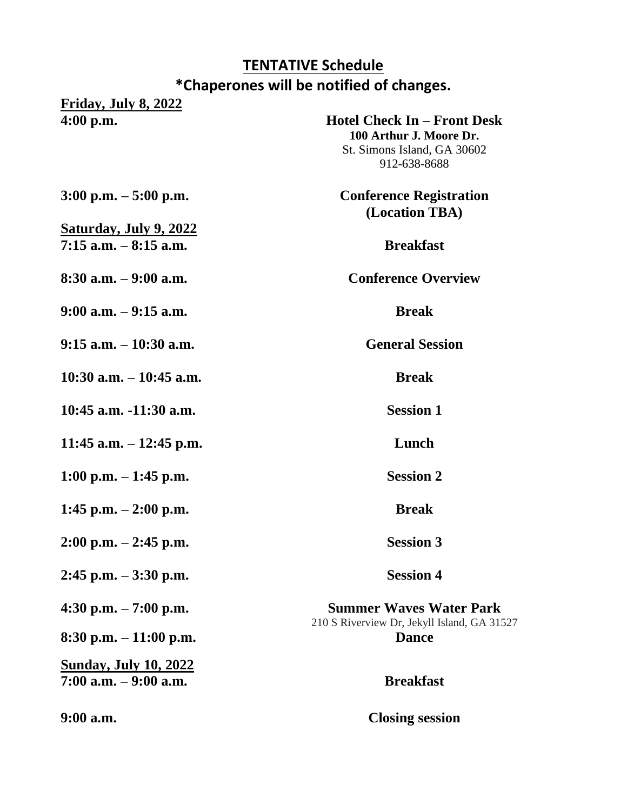# **TENTATIVE Schedule \*Chaperones will be notified of changes.**

**Friday, July 8, 2022**

**4:00 p.m. Hotel Check In – Front Desk 100 Arthur J. Moore Dr.** St. Simons Island, GA 30602 912-638-8688 **3:00 p.m. – 5:00 p.m. Conference Registration (Location TBA) 7:15 a.m. – 8:15 a.m. Breakfast 8:30 a.m. – 9:00 a.m. Conference Overview**

**9:00 a.m. – 9:15 a.m. Break**

**Saturday, July 9, 2022**

**9:15 a.m. – 10:30 a.m. General Session** 

**10:30 a.m. – 10:45 a.m. Break**

**10:45 a.m. -11:30 a.m. Session 1**

**11:45 a.m. – 12:45 p.m. Lunch**

**1:00 p.m. – 1:45 p.m. Session 2**

**1:45 p.m. – 2:00 p.m. Break**

**2:00 p.m. – 2:45 p.m. Session 3**

**2:45 p.m. – 3:30 p.m. Session 4**

**8:30 p.m. – 11:00 p.m. Dance**

**Sunday, July 10, 2022 7:00 a.m. – 9:00 a.m. Breakfast**

**4:30 p.m. – 7:00 p.m. Summer Waves Water Park** 210 S Riverview Dr, Jekyll Island, GA 31527

**9:00 a.m. Closing session**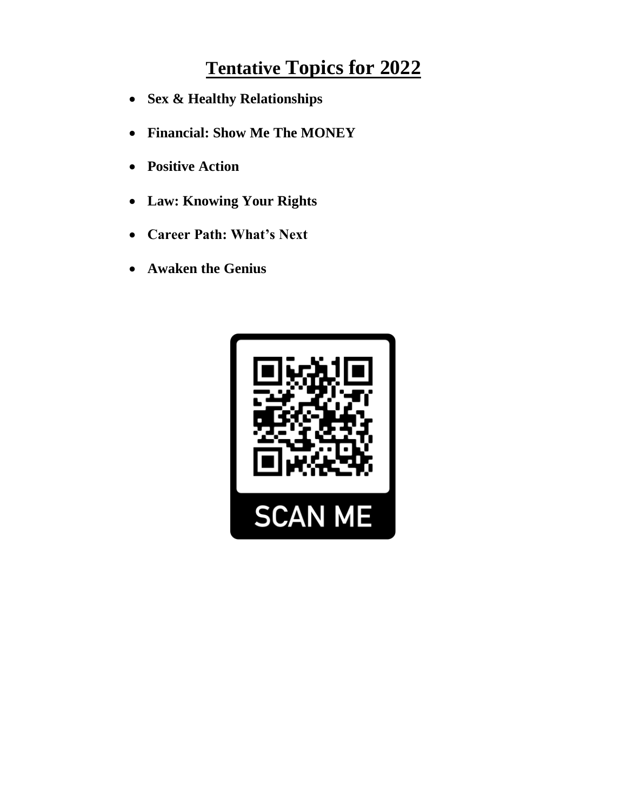# **Tentative Topics for 2022**

- **Sex & Healthy Relationships**
- **Financial: Show Me The MONEY**
- **Positive Action**
- **Law: Knowing Your Rights**
- **Career Path: What's Next**
- **Awaken the Genius**

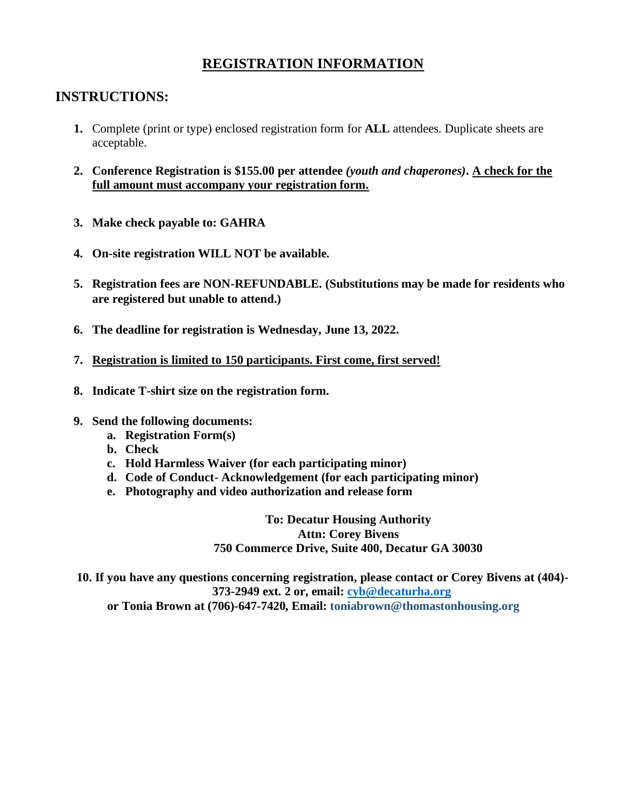# **REGISTRATION INFORMATION**

# **INSTRUCTIONS:**

- **1.** Complete (print or type) enclosed registration form for **ALL** attendees. Duplicate sheets are acceptable.
- **2. Conference Registration is \$155.00 per attendee** *(youth and chaperones)***. A check for the full amount must accompany your registration form.**
- **3. Make check payable to: GAHRA**
- **4. On-site registration WILL NOT be available.**
- **5. Registration fees are NON-REFUNDABLE. (Substitutions may be made for residents who are registered but unable to attend.)**
- **6. The deadline for registration is Wednesday, June 13, 2022.**
- **7. Registration is limited to 150 participants. First come, first served!**
- **8. Indicate T-shirt size on the registration form.**
- **9. Send the following documents:**
	- **a. Registration Form(s)**
	- **b. Check**
	- **c. Hold Harmless Waiver (for each participating minor)**
	- **d. Code of Conduct- Acknowledgement (for each participating minor)**
	- **e. Photography and video authorization and release form**

**To: Decatur Housing Authority Attn: Corey Bivens 750 Commerce Drive, Suite 400, Decatur GA 30030**

**10. If you have any questions concerning registration, please contact or Corey Bivens at (404)- 373-2949 ext. 2 or, email: [cyb@decaturha.org](mailto:cyb@decaturha.org) or Tonia Brown at (706)-647-7420, Email: toniabrown@thomastonhousing.org**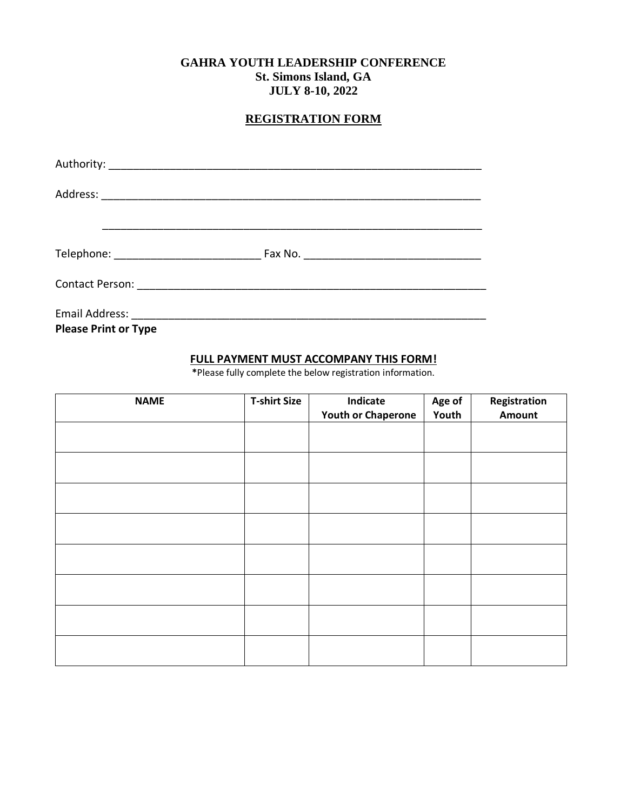# **GAHRA YOUTH LEADERSHIP CONFERENCE St. Simons Island, GA JULY 8-10, 2022**

# **REGISTRATION FORM**

| Contact Person: 2008 2009 2010 2010 2010 2010 2010 2011 2020 2021 2021 2022 2023 2024 2025 2026 2027 2028 2020 |  |
|----------------------------------------------------------------------------------------------------------------|--|
|                                                                                                                |  |

**Please Print or Type**

# **FULL PAYMENT MUST ACCOMPANY THIS FORM!**

**\***Please fully complete the below registration information.

| <b>NAME</b> | <b>T-shirt Size</b> | Indicate<br><b>Youth or Chaperone</b> | Age of<br>Youth | Registration<br>Amount |
|-------------|---------------------|---------------------------------------|-----------------|------------------------|
|             |                     |                                       |                 |                        |
|             |                     |                                       |                 |                        |
|             |                     |                                       |                 |                        |
|             |                     |                                       |                 |                        |
|             |                     |                                       |                 |                        |
|             |                     |                                       |                 |                        |
|             |                     |                                       |                 |                        |
|             |                     |                                       |                 |                        |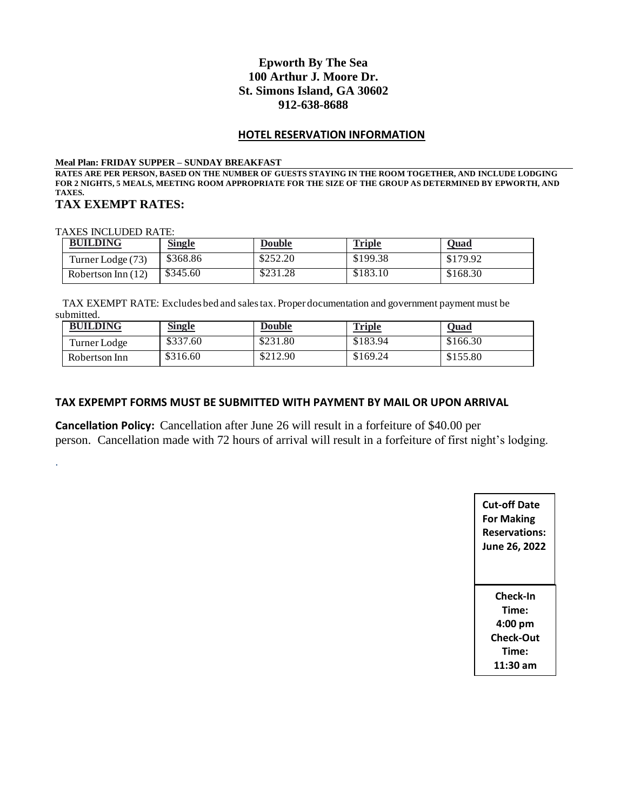## **Epworth By The Sea 100 Arthur J. Moore Dr. St. Simons Island, GA 30602 912-638-8688**

#### **HOTEL RESERVATION INFORMATION**

#### **Meal Plan: FRIDAY SUPPER – SUNDAY BREAKFAST**

**RATES ARE PER PERSON, BASED ON THE NUMBER OF GUESTS STAYING IN THE ROOM TOGETHER, AND INCLUDE LODGING FOR 2 NIGHTS, 5 MEALS, MEETING ROOM APPROPRIATE FOR THE SIZE OF THE GROUP AS DETERMINED BY EPWORTH, AND TAXES. TAX EXEMPT RATES:**

TAXES INCLUDED RATE:

.

| <b>BUILDING</b>      | <b>Single</b> | <b>Double</b> | <b>Triple</b> | <b>Quad</b> |
|----------------------|---------------|---------------|---------------|-------------|
| Turner Lodge (73)    | \$368.86      | \$252.20      | \$199.38      | \$179.92    |
| Robertson Inn $(12)$ | \$345.60      | \$231.28      | \$183.10      | \$168.30    |

 TAX EXEMPT RATE: Excludes bed and sales tax. Proper documentation and government payment must be submitted.

| <b>BUILDING</b> | <b>Single</b> | <b>Double</b> | <b>Triple</b> | <u> Quad</u> |
|-----------------|---------------|---------------|---------------|--------------|
| Turner Lodge    | \$337.60      | \$231.80      | \$183.94      | \$166.30     |
| Robertson Inn   | \$316.60      | \$212.90      | \$169.24      | \$155.80     |

#### **TAX EXPEMPT FORMS MUST BE SUBMITTED WITH PAYMENT BY MAIL OR UPON ARRIVAL**

**Cancellation Policy:** Cancellation after June 26 will result in a forfeiture of \$40.00 per person. Cancellation made with 72 hours of arrival will result in a forfeiture of first night's lodging.

> **Cut-off Date For Making Reservations: June 26, 2022 Check-In Time: 4:00 pm Check-Out Time: 11:30 am**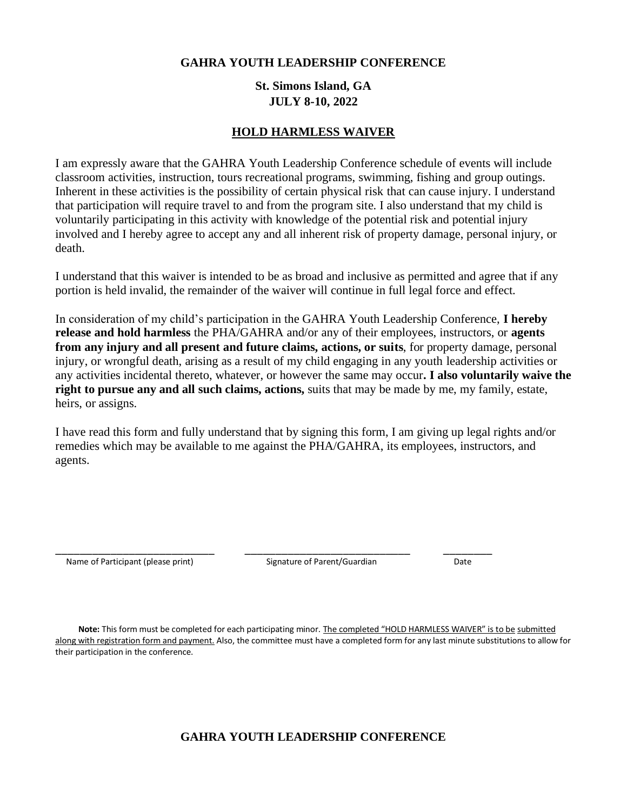### **GAHRA YOUTH LEADERSHIP CONFERENCE**

# **St. Simons Island, GA JULY 8-10, 2022**

## **HOLD HARMLESS WAIVER**

I am expressly aware that the GAHRA Youth Leadership Conference schedule of events will include classroom activities, instruction, tours recreational programs, swimming, fishing and group outings. Inherent in these activities is the possibility of certain physical risk that can cause injury. I understand that participation will require travel to and from the program site. I also understand that my child is voluntarily participating in this activity with knowledge of the potential risk and potential injury involved and I hereby agree to accept any and all inherent risk of property damage, personal injury, or death.

I understand that this waiver is intended to be as broad and inclusive as permitted and agree that if any portion is held invalid, the remainder of the waiver will continue in full legal force and effect.

In consideration of my child's participation in the GAHRA Youth Leadership Conference, **I hereby release and hold harmless** the PHA/GAHRA and/or any of their employees, instructors, or **agents from any injury and all present and future claims, actions, or suits**, for property damage, personal injury, or wrongful death, arising as a result of my child engaging in any youth leadership activities or any activities incidental thereto, whatever, or however the same may occur**. I also voluntarily waive the right to pursue any and all such claims, actions,** suits that may be made by me, my family, estate, heirs, or assigns.

I have read this form and fully understand that by signing this form, I am giving up legal rights and/or remedies which may be available to me against the PHA/GAHRA, its employees, instructors, and agents.

Name of Participant (please print) Signature of Parent/Guardian Date

\_\_\_\_\_\_\_\_\_\_\_\_\_\_\_\_\_\_\_\_\_\_\_\_\_\_ \_\_\_\_\_\_\_\_\_\_\_\_\_\_\_\_\_\_\_\_\_\_\_\_\_\_\_ \_\_\_\_\_\_\_\_

 **Note:** This form must be completed for each participating minor. The completed "HOLD HARMLESS WAIVER" is to be submitted along with registration form and payment. Also, the committee must have a completed form for any last minute substitutions to allow for their participation in the conference.

# **GAHRA YOUTH LEADERSHIP CONFERENCE**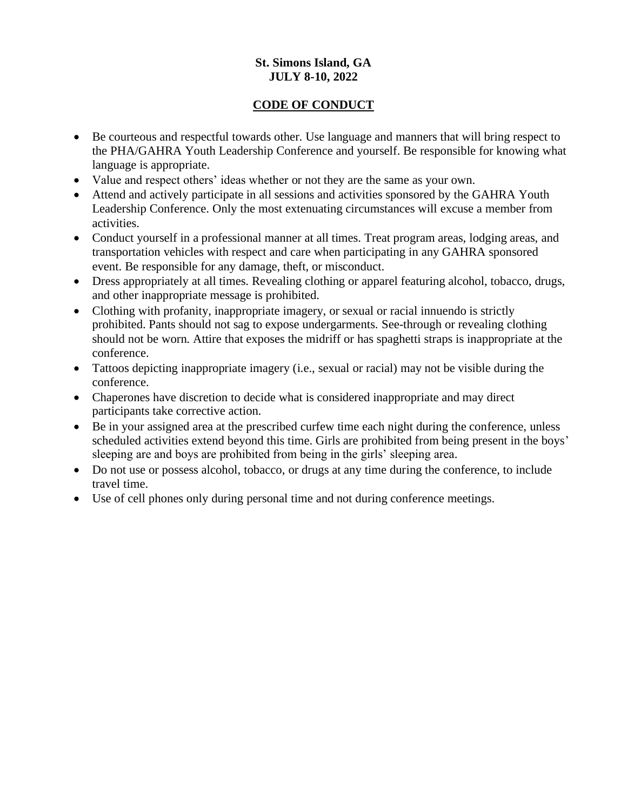# **St. Simons Island, GA JULY 8-10, 2022**

# **CODE OF CONDUCT**

- Be courteous and respectful towards other. Use language and manners that will bring respect to the PHA/GAHRA Youth Leadership Conference and yourself. Be responsible for knowing what language is appropriate.
- Value and respect others' ideas whether or not they are the same as your own.
- Attend and actively participate in all sessions and activities sponsored by the GAHRA Youth Leadership Conference. Only the most extenuating circumstances will excuse a member from activities.
- Conduct yourself in a professional manner at all times. Treat program areas, lodging areas, and transportation vehicles with respect and care when participating in any GAHRA sponsored event. Be responsible for any damage, theft, or misconduct.
- Dress appropriately at all times. Revealing clothing or apparel featuring alcohol, tobacco, drugs, and other inappropriate message is prohibited.
- Clothing with profanity, inappropriate imagery, or sexual or racial innuendo is strictly prohibited. Pants should not sag to expose undergarments. See-through or revealing clothing should not be worn. Attire that exposes the midriff or has spaghetti straps is inappropriate at the conference.
- Tattoos depicting inappropriate imagery (i.e., sexual or racial) may not be visible during the conference.
- Chaperones have discretion to decide what is considered inappropriate and may direct participants take corrective action.
- Be in your assigned area at the prescribed curfew time each night during the conference, unless scheduled activities extend beyond this time. Girls are prohibited from being present in the boys' sleeping are and boys are prohibited from being in the girls' sleeping area.
- Do not use or possess alcohol, tobacco, or drugs at any time during the conference, to include travel time.
- Use of cell phones only during personal time and not during conference meetings.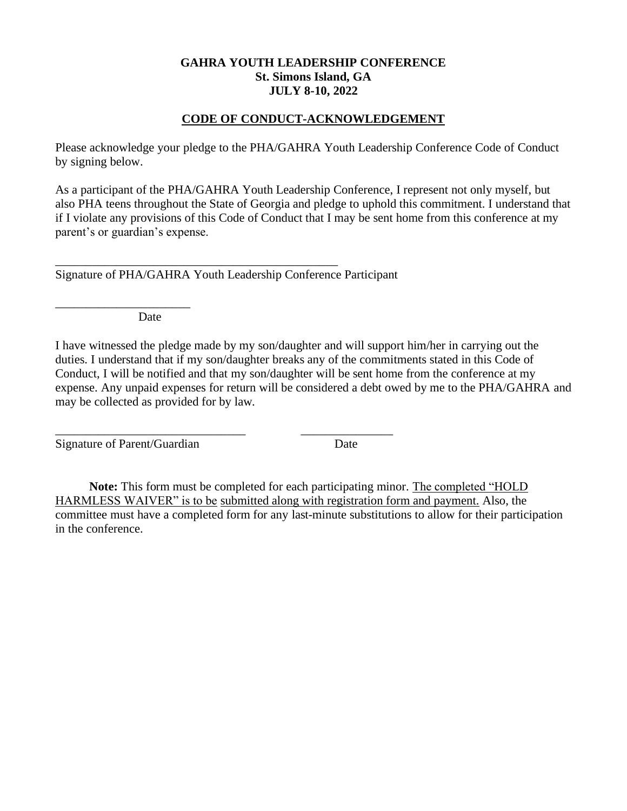## **GAHRA YOUTH LEADERSHIP CONFERENCE St. Simons Island, GA JULY 8-10, 2022**

# **CODE OF CONDUCT-ACKNOWLEDGEMENT**

Please acknowledge your pledge to the PHA/GAHRA Youth Leadership Conference Code of Conduct by signing below.

As a participant of the PHA/GAHRA Youth Leadership Conference, I represent not only myself, but also PHA teens throughout the State of Georgia and pledge to uphold this commitment. I understand that if I violate any provisions of this Code of Conduct that I may be sent home from this conference at my parent's or guardian's expense.

Signature of PHA/GAHRA Youth Leadership Conference Participant

\_\_\_\_\_\_\_\_\_\_\_\_\_\_\_\_\_\_\_\_\_\_\_\_\_\_\_\_\_\_\_ \_\_\_\_\_\_\_\_\_\_\_\_\_\_\_

\_\_\_\_\_\_\_\_\_\_\_\_\_\_\_\_\_\_\_\_\_\_\_\_\_\_\_\_\_\_\_\_\_\_\_\_\_\_\_\_\_\_\_\_\_\_

Date

\_\_\_\_\_\_\_\_\_\_\_\_\_\_\_\_\_\_\_\_\_\_

I have witnessed the pledge made by my son/daughter and will support him/her in carrying out the duties. I understand that if my son/daughter breaks any of the commitments stated in this Code of Conduct, I will be notified and that my son/daughter will be sent home from the conference at my expense. Any unpaid expenses for return will be considered a debt owed by me to the PHA/GAHRA and may be collected as provided for by law.

Signature of Parent/Guardian Date

 **Note:** This form must be completed for each participating minor. The completed "HOLD HARMLESS WAIVER" is to be submitted along with registration form and payment. Also, the committee must have a completed form for any last-minute substitutions to allow for their participation in the conference.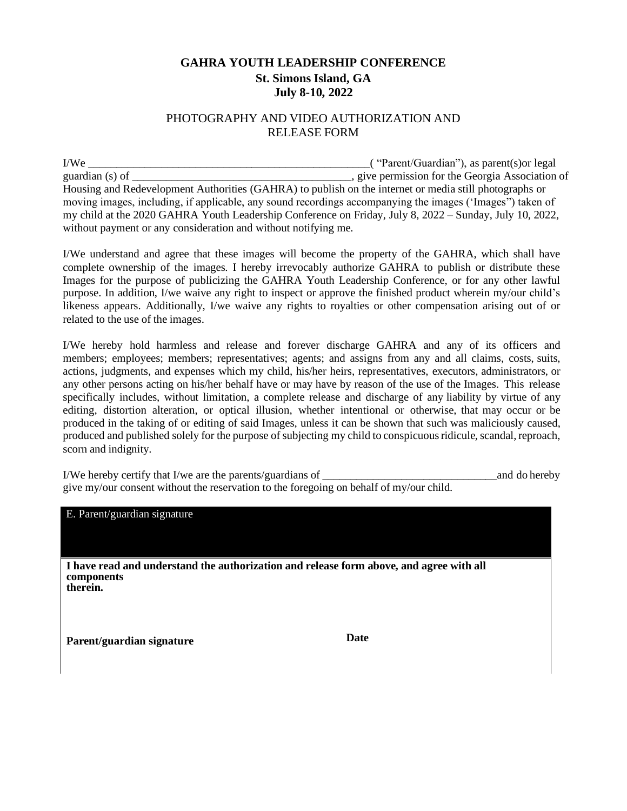# **GAHRA YOUTH LEADERSHIP CONFERENCE St. Simons Island, GA July 8-10, 2022**

## PHOTOGRAPHY AND VIDEO AUTHORIZATION AND RELEASE FORM

I/We \_\_\_\_\_\_\_\_\_\_\_\_\_\_\_\_\_\_\_\_\_\_\_\_\_\_\_\_\_\_\_\_\_\_\_\_\_\_\_\_\_\_\_\_\_\_\_\_\_\_( "Parent/Guardian"), as parent(s)or legal guardian (s) of guardian (s) of  $\qquad \qquad$  give permission for the Georgia Association of Housing and Redevelopment Authorities (GAHRA) to publish on the internet or media still photographs or moving images, including, if applicable, any sound recordings accompanying the images ('Images") taken of my child at the 2020 GAHRA Youth Leadership Conference on Friday, July 8, 2022 – Sunday, July 10, 2022, without payment or any consideration and without notifying me.

I/We understand and agree that these images will become the property of the GAHRA, which shall have complete ownership of the images. I hereby irrevocably authorize GAHRA to publish or distribute these Images for the purpose of publicizing the GAHRA Youth Leadership Conference, or for any other lawful purpose. In addition, I/we waive any right to inspect or approve the finished product wherein my/our child's likeness appears. Additionally, I/we waive any rights to royalties or other compensation arising out of or related to the use of the images.

I/We hereby hold harmless and release and forever discharge GAHRA and any of its officers and members; employees; members; representatives; agents; and assigns from any and all claims, costs, suits, actions, judgments, and expenses which my child, his/her heirs, representatives, executors, administrators, or any other persons acting on his/her behalf have or may have by reason of the use of the Images. This release specifically includes, without limitation, a complete release and discharge of any liability by virtue of any editing, distortion alteration, or optical illusion, whether intentional or otherwise, that may occur or be produced in the taking of or editing of said Images, unless it can be shown that such was maliciously caused, produced and published solely for the purpose of subjecting my child to conspicuous ridicule, scandal, reproach, scorn and indignity.

I/We hereby certify that I/we are the parents/guardians of and do hereby and do hereby give my/our consent without the reservation to the foregoing on behalf of my/our child.

E. Parent/guardian signature **I have read and understand the authorization and release form above, and agree with all components therein. Parent/guardian signature Date**